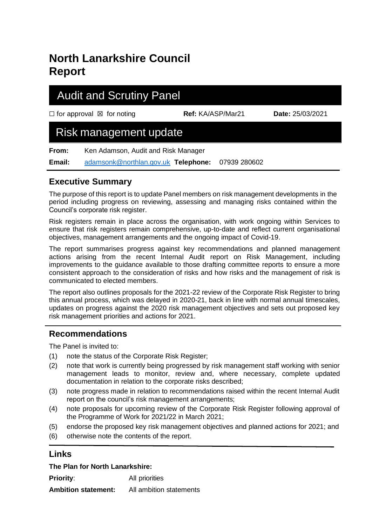# **North Lanarkshire Council Report**

## Audit and Scrutiny Panel

☐ for approval ☒ for noting **Ref:** KA/ASP/Mar21 **Date:** 25/03/2021

## Risk management update

**From:** Ken Adamson, Audit and Risk Manager

**Email:** [adamsonk@northlan.gov.uk](mailto:adamsonk@northlan.gov.uk) **Telephone:** 07939 280602

### **Executive Summary**

The purpose of this report is to update Panel members on risk management developments in the period including progress on reviewing, assessing and managing risks contained within the Council's corporate risk register.

Risk registers remain in place across the organisation, with work ongoing within Services to ensure that risk registers remain comprehensive, up-to-date and reflect current organisational objectives, management arrangements and the ongoing impact of Covid-19.

The report summarises progress against key recommendations and planned management actions arising from the recent Internal Audit report on Risk Management, including improvements to the guidance available to those drafting committee reports to ensure a more consistent approach to the consideration of risks and how risks and the management of risk is communicated to elected members.

The report also outlines proposals for the 2021-22 review of the Corporate Risk Register to bring this annual process, which was delayed in 2020-21, back in line with normal annual timescales, updates on progress against the 2020 risk management objectives and sets out proposed key risk management priorities and actions for 2021.

### **Recommendations**

The Panel is invited to:

- (1) note the status of the Corporate Risk Register;
- (2) note that work is currently being progressed by risk management staff working with senior management leads to monitor, review and, where necessary, complete updated documentation in relation to the corporate risks described;
- (3) note progress made in relation to recommendations raised within the recent Internal Audit report on the council's risk management arrangements;
- (4) note proposals for upcoming review of the Corporate Risk Register following approval of the Programme of Work for 2021/22 in March 2021;
- (5) endorse the proposed key risk management objectives and planned actions for 2021; and
- (6) otherwise note the contents of the report.

### **Links**

#### **The Plan for North Lanarkshire:**

**Priority:** All priorities

**Ambition statement:** All ambition statements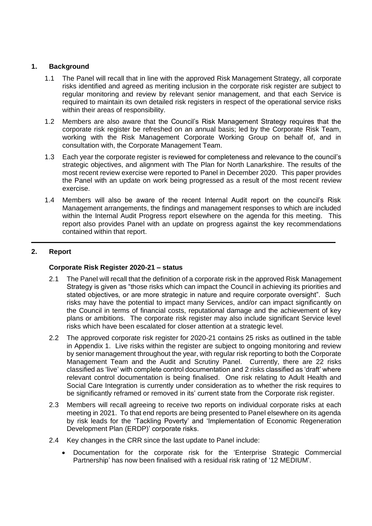#### **1. Background**

- 1.1 The Panel will recall that in line with the approved Risk Management Strategy, all corporate risks identified and agreed as meriting inclusion in the corporate risk register are subject to regular monitoring and review by relevant senior management, and that each Service is required to maintain its own detailed risk registers in respect of the operational service risks within their areas of responsibility.
- 1.2 Members are also aware that the Council's Risk Management Strategy requires that the corporate risk register be refreshed on an annual basis; led by the Corporate Risk Team, working with the Risk Management Corporate Working Group on behalf of, and in consultation with, the Corporate Management Team.
- 1.3 Each year the corporate register is reviewed for completeness and relevance to the council's strategic objectives, and alignment with The Plan for North Lanarkshire. The results of the most recent review exercise were reported to Panel in December 2020. This paper provides the Panel with an update on work being progressed as a result of the most recent review exercise.
- 1.4 Members will also be aware of the recent Internal Audit report on the council's Risk Management arrangements, the findings and management responses to which are included within the Internal Audit Progress report elsewhere on the agenda for this meeting. This report also provides Panel with an update on progress against the key recommendations contained within that report.

#### **2. Report**

#### **Corporate Risk Register 2020-21 – status**

- 2.1 The Panel will recall that the definition of a corporate risk in the approved Risk Management Strategy is given as "those risks which can impact the Council in achieving its priorities and stated objectives, or are more strategic in nature and require corporate oversight". Such risks may have the potential to impact many Services, and/or can impact significantly on the Council in terms of financial costs, reputational damage and the achievement of key plans or ambitions. The corporate risk register may also include significant Service level risks which have been escalated for closer attention at a strategic level.
- 2.2 The approved corporate risk register for 2020-21 contains 25 risks as outlined in the table in Appendix 1. Live risks within the register are subject to ongoing monitoring and review by senior management throughout the year, with regular risk reporting to both the Corporate Management Team and the Audit and Scrutiny Panel. Currently, there are 22 risks classified as 'live' with complete control documentation and 2 risks classified as 'draft' where relevant control documentation is being finalised. One risk relating to Adult Health and Social Care Integration is currently under consideration as to whether the risk requires to be significantly reframed or removed in its' current state from the Corporate risk register.
- 2.3 Members will recall agreeing to receive two reports on individual corporate risks at each meeting in 2021. To that end reports are being presented to Panel elsewhere on its agenda by risk leads for the 'Tackling Poverty' and 'Implementation of Economic Regeneration Development Plan (ERDP)' corporate risks.
- 2.4 Key changes in the CRR since the last update to Panel include:
	- Documentation for the corporate risk for the 'Enterprise Strategic Commercial Partnership' has now been finalised with a residual risk rating of '12 MEDIUM'.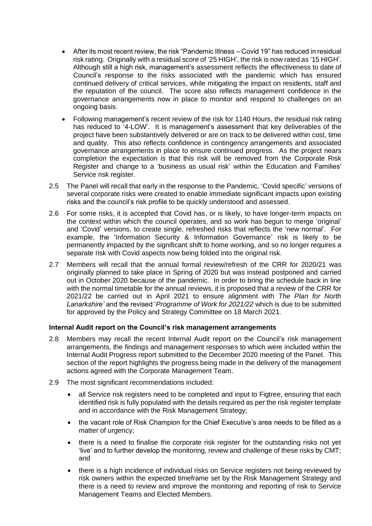- After its most recent review, the risk "Pandemic Illness Covid 19" has reduced in residual risk rating. Originally with a residual score of '25 HIGH', the risk is now rated as '15 HIGH'. Although still a high risk, management's assessment reflects the effectiveness to date of Council's response to the risks associated with the pandemic which has ensured continued delivery of critical services, while mitigating the impact on residents, staff and the reputation of the council. The score also reflects management confidence in the governance arrangements now in place to monitor and respond to challenges on an ongoing basis.
- Following management's recent review of the risk for 1140 Hours, the residual risk rating has reduced to '4-LOW'. It is management's assessment that key deliverables of the project have been substantively delivered or are on track to be delivered within cost, time and quality. This also reflects confidence in contingency arrangements and associated governance arrangements in place to ensure continued progress. As the project nears completion the expectation is that this risk will be removed from the Corporate Risk Register and change to a 'business as usual risk' within the Education and Families' Service risk register.
- 2.5 The Panel will recall that early in the response to the Pandemic, 'Covid specific' versions of several corporate risks were created to enable immediate significant impacts upon existing risks and the council's risk profile to be quickly understood and assessed.
- 2.6 For some risks, it is accepted that Covid has, or is likely, to have longer-term impacts on the context within which the council operates, and so work has begun to merge 'original' and 'Covid' versions, to create single, refreshed risks that reflects the 'new normal'. For example, the 'Information Security & Information Governance' risk is likely to be permanently impacted by the significant shift to home working, and so no longer requires a separate risk with Covid aspects now being folded into the original risk.
- 2.7 Members will recall that the annual formal review/refresh of the CRR for 2020/21 was originally planned to take place in Spring of 2020 but was instead postponed and carried out in October 2020 because of the pandemic. In order to bring the schedule back in line with the normal timetable for the annual reviews, it is proposed that a review of the CRR for 2021/22 be carried out in April 2021 to ensure alignment with *The Plan for North Lanarkshire'* and the revised '*Programme of Work for 2021/22* which is due to be submitted for approved by the Policy and Strategy Committee on 18 March 2021.

#### **Internal Audit report on the Council's risk management arrangements**

- 2.8 Members may recall the recent Internal Audit report on the Council's risk management arrangements, the findings and management responses to which were included within the Internal Audit Progress report submitted to the December 2020 meeting of the Panel. This section of the report highlights the progress being made in the delivery of the management actions agreed with the Corporate Management Team.
- 2.9 The most significant recommendations included:
	- all Service risk registers need to be completed and input to Figtree, ensuring that each identified risk is fully populated with the details required as per the risk register template and in accordance with the Risk Management Strategy;
	- the vacant role of Risk Champion for the Chief Executive's area needs to be filled as a matter of urgency;
	- there is a need to finalise the corporate risk register for the outstanding risks not yet 'live' and to further develop the monitoring, review and challenge of these risks by CMT; and
	- there is a high incidence of individual risks on Service registers not being reviewed by risk owners within the expected timeframe set by the Risk Management Strategy and there is a need to review and improve the monitoring and reporting of risk to Service Management Teams and Elected Members.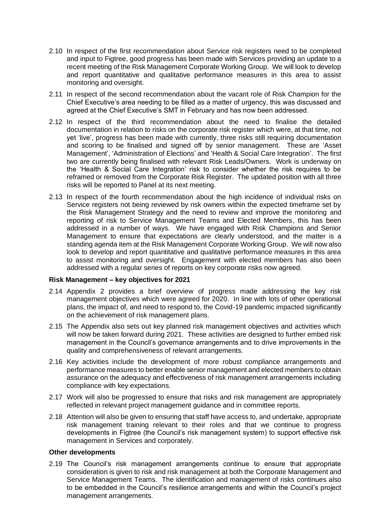- 2.10 In respect of the first recommendation about Service risk registers need to be completed and input to Figtree, good progress has been made with Services providing an update to a recent meeting of the Risk Management Corporate Working Group. We will look to develop and report quantitative and qualitative performance measures in this area to assist monitoring and oversight.
- 2.11 In respect of the second recommendation about the vacant role of Risk Champion for the Chief Executive's area needing to be filled as a matter of urgency, this was discussed and agreed at the Chief Executive's SMT in February and has now been addressed.
- 2.12 In respect of the third recommendation about the need to finalise the detailed documentation in relation to risks on the corporate risk register which were, at that time, not yet 'live', progress has been made with currently, three risks still requiring documentation and scoring to be finalised and signed off by senior management. These are 'Asset Management', 'Administration of Elections' and 'Health & Social Care Integration'. The first two are currently being finalised with relevant Risk Leads/Owners. Work is underway on the 'Health & Social Care Integration' risk to consider whether the risk requires to be reframed or removed from the Corporate Risk Register. The updated position with all three risks will be reported to Panel at its next meeting.
- 2.13 In respect of the fourth recommendation about the high incidence of individual risks on Service registers not being reviewed by risk owners within the expected timeframe set by the Risk Management Strategy and the need to review and improve the monitoring and reporting of risk to Service Management Teams and Elected Members, this has been addressed in a number of ways. We have engaged with Risk Champions and Senior Management to ensure that expectations are clearly understood, and the matter is a standing agenda item at the Risk Management Corporate Working Group. We will now also look to develop and report quantitative and qualitative performance measures in this area to assist monitoring and oversight. Engagement with elected members has also been addressed with a regular series of reports on key corporate risks now agreed.

#### **Risk Management – key objectives for 2021**

- 2.14 Appendix 2 provides a brief overview of progress made addressing the key risk management objectives which were agreed for 2020. In line with lots of other operational plans, the impact of, and need to respond to, the Covid-19 pandemic impacted significantly on the achievement of risk management plans.
- 2.15 The Appendix also sets out key planned risk management objectives and activities which will now be taken forward during 2021. These activities are designed to further embed risk management in the Council's governance arrangements and to drive improvements in the quality and comprehensiveness of relevant arrangements.
- 2.16 Key activities include the development of more robust compliance arrangements and performance measures to better enable senior management and elected members to obtain assurance on the adequacy and effectiveness of risk management arrangements including compliance with key expectations.
- 2.17 Work will also be progressed to ensure that risks and risk management are appropriately reflected in relevant project management guidance and in committee reports.
- 2.18 Attention will also be given to ensuring that staff have access to, and undertake, appropriate risk management training relevant to their roles and that we continue to progress developments in Figtree (the Council's risk management system) to support effective risk management in Services and corporately.

#### **Other developments**

2.19 The Council's risk management arrangements continue to ensure that appropriate consideration is given to risk and risk management at both the Corporate Management and Service Management Teams. The identification and management of risks continues also to be embedded in the Council's resilience arrangements and within the Council's project management arrangements.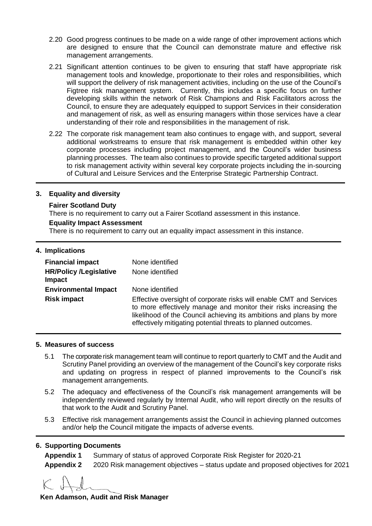- 2.20 Good progress continues to be made on a wide range of other improvement actions which are designed to ensure that the Council can demonstrate mature and effective risk management arrangements.
- 2.21 Significant attention continues to be given to ensuring that staff have appropriate risk management tools and knowledge, proportionate to their roles and responsibilities, which will support the delivery of risk management activities, including on the use of the Council's Figtree risk management system. Currently, this includes a specific focus on further developing skills within the network of Risk Champions and Risk Facilitators across the Council, to ensure they are adequately equipped to support Services in their consideration and management of risk, as well as ensuring managers within those services have a clear understanding of their role and responsibilities in the management of risk.
- 2.22 The corporate risk management team also continues to engage with, and support, several additional workstreams to ensure that risk management is embedded within other key corporate processes including project management, and the Council's wider business planning processes. The team also continues to provide specific targeted additional support to risk management activity within several key corporate projects including the in-sourcing of Cultural and Leisure Services and the Enterprise Strategic Partnership Contract.

#### **3. Equality and diversity**

#### **Fairer Scotland Duty**

There is no requirement to carry out a Fairer Scotland assessment in this instance.

#### **Equality Impact Assessment**

There is no requirement to carry out an equality impact assessment in this instance.

| 4. Implications                                |                                                                                                                                                                                                                                                                                  |
|------------------------------------------------|----------------------------------------------------------------------------------------------------------------------------------------------------------------------------------------------------------------------------------------------------------------------------------|
| <b>Financial impact</b>                        | None identified                                                                                                                                                                                                                                                                  |
| <b>HR/Policy /Legislative</b><br><b>Impact</b> | None identified                                                                                                                                                                                                                                                                  |
| <b>Environmental Impact</b>                    | None identified                                                                                                                                                                                                                                                                  |
| <b>Risk impact</b>                             | Effective oversight of corporate risks will enable CMT and Services<br>to more effectively manage and monitor their risks increasing the<br>likelihood of the Council achieving its ambitions and plans by more<br>effectively mitigating potential threats to planned outcomes. |

#### **5. Measures of success**

- 5.1 The corporate risk management team will continue to report quarterly to CMT and the Audit and Scrutiny Panel providing an overview of the management of the Council's key corporate risks and updating on progress in respect of planned improvements to the Council's risk management arrangements.
- 5.2 The adequacy and effectiveness of the Council's risk management arrangements will be independently reviewed regularly by Internal Audit, who will report directly on the results of that work to the Audit and Scrutiny Panel.
- 5.3 Effective risk management arrangements assist the Council in achieving planned outcomes and/or help the Council mitigate the impacts of adverse events.

#### **6. Supporting Documents**

| <b>Appendix 1</b> | Summary of status of approved Corporate Risk Register for 2020-21                |
|-------------------|----------------------------------------------------------------------------------|
| <b>Appendix 2</b> | 2020 Risk management objectives – status update and proposed objectives for 2021 |

**Ken Adamson, Audit and Risk Manager**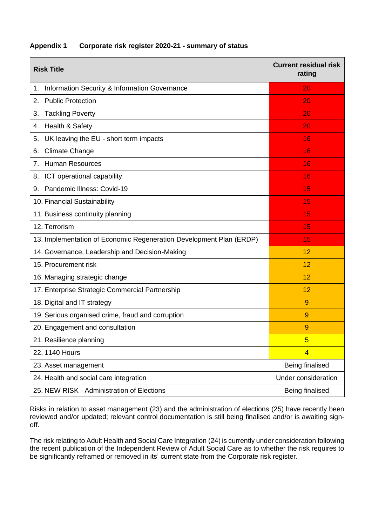| <b>Risk Title</b>                                                   | <b>Current residual risk</b><br>rating |
|---------------------------------------------------------------------|----------------------------------------|
| Information Security & Information Governance<br>1.                 | 20                                     |
| <b>Public Protection</b><br>2.                                      | 20                                     |
| <b>Tackling Poverty</b><br>3.                                       | 20                                     |
| Health & Safety<br>4.                                               | 20                                     |
| UK leaving the EU - short term impacts<br>5.                        | 16                                     |
| <b>Climate Change</b><br>6.                                         | 16                                     |
| <b>Human Resources</b><br>7.                                        | 16                                     |
| ICT operational capability<br>8.                                    | 16                                     |
| Pandemic Illness: Covid-19<br>9.                                    | 15                                     |
| 10. Financial Sustainability                                        | 15                                     |
| 11. Business continuity planning                                    | 15                                     |
| 12. Terrorism                                                       | 15                                     |
| 13. Implementation of Economic Regeneration Development Plan (ERDP) | 15                                     |
| 14. Governance, Leadership and Decision-Making                      | 12                                     |
| 15. Procurement risk                                                | 12                                     |
| 16. Managing strategic change                                       | 12                                     |
| 17. Enterprise Strategic Commercial Partnership                     | 12                                     |
| 18. Digital and IT strategy                                         | 9                                      |
| 19. Serious organised crime, fraud and corruption                   | 9                                      |
| 20. Engagement and consultation                                     | 9                                      |
| 21. Resilience planning                                             | 5                                      |
| 22. 1140 Hours                                                      | $\overline{4}$                         |
| 23. Asset management                                                | Being finalised                        |
| 24. Health and social care integration                              | Under consideration                    |
| 25. NEW RISK - Administration of Elections                          | <b>Being finalised</b>                 |

#### **Appendix 1 Corporate risk register 2020-21 - summary of status**

Risks in relation to asset management (23) and the administration of elections (25) have recently been reviewed and/or updated; relevant control documentation is still being finalised and/or is awaiting signoff.

The risk relating to Adult Health and Social Care Integration (24) is currently under consideration following the recent publication of the Independent Review of Adult Social Care as to whether the risk requires to be significantly reframed or removed in its' current state from the Corporate risk register.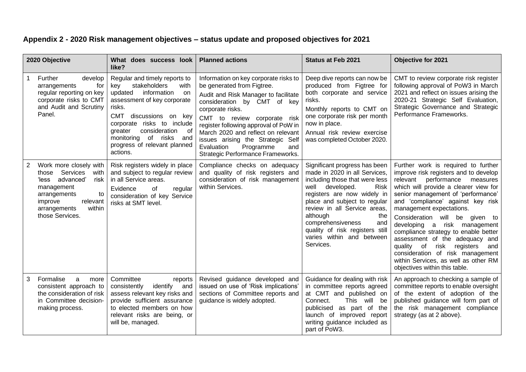## **Appendix 2 - 2020 Risk management objectives – status update and proposed objectives for 2021**

| 2020 Objective |                                                                                                                                                                                        | What does success look<br>like?                                                                                                                                                                                                                                                                              | <b>Planned actions</b>                                                                                                                                                                                                                                                                                                                                                                    | <b>Status at Feb 2021</b>                                                                                                                                                                                                                                                                                                                                     | <b>Objective for 2021</b>                                                                                                                                                                                                                                                                                                                                                                                                                                                                                                                                           |
|----------------|----------------------------------------------------------------------------------------------------------------------------------------------------------------------------------------|--------------------------------------------------------------------------------------------------------------------------------------------------------------------------------------------------------------------------------------------------------------------------------------------------------------|-------------------------------------------------------------------------------------------------------------------------------------------------------------------------------------------------------------------------------------------------------------------------------------------------------------------------------------------------------------------------------------------|---------------------------------------------------------------------------------------------------------------------------------------------------------------------------------------------------------------------------------------------------------------------------------------------------------------------------------------------------------------|---------------------------------------------------------------------------------------------------------------------------------------------------------------------------------------------------------------------------------------------------------------------------------------------------------------------------------------------------------------------------------------------------------------------------------------------------------------------------------------------------------------------------------------------------------------------|
|                | Further<br>develop<br>arrangements<br>for<br>regular reporting on key<br>corporate risks to CMT<br>and Audit and Scrutiny<br>Panel.                                                    | Regular and timely reports to<br>stakeholders<br>key<br>with<br>information<br>updated<br>on<br>assessment of key corporate<br>risks.<br>CMT discussions on key<br>corporate risks to include<br>consideration<br>greater<br>ot<br>of risks<br>monitoring<br>and<br>progress of relevant planned<br>actions. | Information on key corporate risks to<br>be generated from Figtree.<br>Audit and Risk Manager to facilitate<br>consideration by CMT of key<br>corporate risks.<br>CMT to review corporate risk<br>register following approval of PoW in<br>March 2020 and reflect on relevant<br>issues arising the Strategic Self<br>Evaluation<br>Programme<br>and<br>Strategic Performance Frameworks. | Deep dive reports can now be<br>produced from Figtree for<br>both corporate and service<br>risks.<br>Monthly reports to CMT on<br>one corporate risk per month<br>now in place.<br>Annual risk review exercise<br>was completed October 2020.                                                                                                                 | CMT to review corporate risk register<br>following approval of PoW3 in March<br>2021 and reflect on issues arising the<br>2020-21 Strategic Self Evaluation,<br>Strategic Governance and Strategic<br>Performance Frameworks.                                                                                                                                                                                                                                                                                                                                       |
| $\overline{2}$ | Work more closely with<br>Services<br>those<br>with<br>'less advanced'<br>risk<br>management<br>arrangements<br>to<br>relevant<br>improve<br>within<br>arrangements<br>those Services. | Risk registers widely in place<br>and subject to regular review<br>in all Service areas.<br>Evidence<br>of<br>regular<br>consideration of key Service<br>risks at SMT level.                                                                                                                                 | Compliance checks on adequacy<br>and quality of risk registers and<br>consideration of risk management<br>within Services.                                                                                                                                                                                                                                                                | Significant progress has been<br>made in 2020 in all Services,<br>including those that were less<br>well developed.<br><b>Risk</b><br>registers are now widely in<br>place and subject to regular<br>review in all Service areas,<br>although<br>the<br>comprehensiveness<br>and<br>quality of risk registers still<br>varies within and between<br>Services. | Further work is required to further<br>improve risk registers and to develop<br>performance<br>relevant<br>measures<br>which will provide a clearer view for<br>senior management of 'performance'<br>and 'compliance' against key risk<br>management expectations.<br>Consideration will be given to<br>developing a risk management<br>compliance strategy to enable better<br>assessment of the adequacy and<br>risk registers<br>quality of<br>and<br>consideration of risk management<br>within Services, as well as other RM<br>objectives within this table. |
| 3              | Formalise<br>a<br>more<br>consistent approach to<br>the consideration of risk<br>in Committee decision-<br>making process.                                                             | Committee<br>reports<br>identify<br>consistently<br>and<br>assess relevant key risks and<br>provide sufficient assurance<br>to elected members on how<br>relevant risks are being, or<br>will be, managed.                                                                                                   | Revised guidance developed and<br>issued on use of 'Risk implications'<br>sections of Committee reports and<br>guidance is widely adopted.                                                                                                                                                                                                                                                | Guidance for dealing with risk<br>in committee reports agreed<br>at CMT and published on<br>This will be<br>Connect.<br>publicised as part of the<br>launch of improved report<br>writing guidance included as<br>part of PoW3.                                                                                                                               | An approach to checking a sample of<br>committee reports to enable oversight<br>of the extent of adoption of the<br>published guidance will form part of<br>the risk management compliance<br>strategy (as at 2 above).                                                                                                                                                                                                                                                                                                                                             |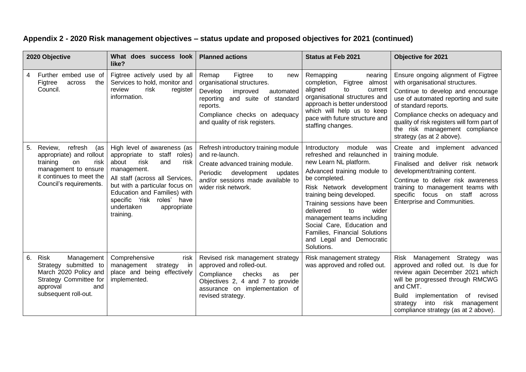### **Appendix 2 - 2020 Risk management objectives – status update and proposed objectives for 2021 (continued)**

| 2020 Objective |                                                                                                                                                                | What does success look<br>like?                                                                                                                                                                                                                                                        | <b>Planned actions</b>                                                                                                                                                                                            | <b>Status at Feb 2021</b>                                                                                                                                                                                                                                                                                                                                                                             | <b>Objective for 2021</b>                                                                                                                                                                                                                                                                                                      |
|----------------|----------------------------------------------------------------------------------------------------------------------------------------------------------------|----------------------------------------------------------------------------------------------------------------------------------------------------------------------------------------------------------------------------------------------------------------------------------------|-------------------------------------------------------------------------------------------------------------------------------------------------------------------------------------------------------------------|-------------------------------------------------------------------------------------------------------------------------------------------------------------------------------------------------------------------------------------------------------------------------------------------------------------------------------------------------------------------------------------------------------|--------------------------------------------------------------------------------------------------------------------------------------------------------------------------------------------------------------------------------------------------------------------------------------------------------------------------------|
| 4              | Further embed use of<br>the<br>Figtree<br>across<br>Council.                                                                                                   | Figtree actively used by all<br>Services to hold, monitor and<br>risk<br>review<br>register<br>information.                                                                                                                                                                            | Remap<br>Figtree<br>to<br>new<br>organisational structures.<br>Develop<br>improved<br>automated<br>reporting and suite of standard<br>reports.<br>Compliance checks on adequacy<br>and quality of risk registers. | Remapping<br>nearing<br>completion,<br>Figtree<br>almost<br>aligned<br>to<br>current<br>organisational structures and<br>approach is better understood<br>which will help us to keep<br>pace with future structure and<br>staffing changes.                                                                                                                                                           | Ensure ongoing alignment of Figtree<br>with organisational structures.<br>Continue to develop and encourage<br>use of automated reporting and suite<br>of standard reports.<br>Compliance checks on adequacy and<br>quality of risk registers will form part of<br>the risk management compliance<br>strategy (as at 2 above). |
| 5.             | refresh<br>Review,<br>(as<br>appropriate) and rollout<br>training<br>risk<br>on<br>management to ensure<br>it continues to meet the<br>Council's requirements. | High level of awareness (as<br>appropriate to staff roles)<br>about<br>and<br>risk<br>risk<br>management.<br>All staff (across all Services,<br>but with a particular focus on<br>Education and Families) with<br>specific 'risk roles' have<br>undertaken<br>appropriate<br>training. | Refresh introductory training module<br>and re-launch.<br>Create advanced training module.<br>development<br>Periodic<br>updates<br>and/or sessions made available to<br>wider risk network.                      | Introductory module<br>was<br>refreshed and relaunched in<br>new Learn NL platform.<br>Advanced training module to<br>be completed.<br>Risk Network development<br>training being developed.<br>Training sessions have been<br>wider<br>delivered<br>to<br>management teams including<br>Social Care, Education and<br><b>Families, Financial Solutions</b><br>and Legal and Democratic<br>Solutions. | Create and implement advanced<br>training module.<br>Finalised and deliver risk network<br>development/training content.<br>Continue to deliver risk awareness<br>training to management teams with<br>specific focus on staff across<br><b>Enterprise and Communities.</b>                                                    |
| 6.             | <b>Risk</b><br>Management<br>Strategy submitted to<br>March 2020 Policy and<br>Strategy Committee for<br>approval<br>and<br>subsequent roll-out.               | Comprehensive<br>risk<br>management<br>strategy<br>in<br>place and being effectively<br>implemented.                                                                                                                                                                                   | Revised risk management strategy<br>approved and rolled-out.<br>Compliance<br>checks<br>as<br>per<br>Objectives 2, 4 and 7 to provide<br>assurance on implementation of<br>revised strategy.                      | Risk management strategy<br>was approved and rolled out.                                                                                                                                                                                                                                                                                                                                              | Management Strategy<br>Risk<br>was<br>approved and rolled out. Is due for<br>review again December 2021 which<br>will be progressed through RMCWG<br>and CMT.<br>Build implementation of revised<br>into risk<br>strategy<br>management<br>compliance strategy (as at 2 above).                                                |